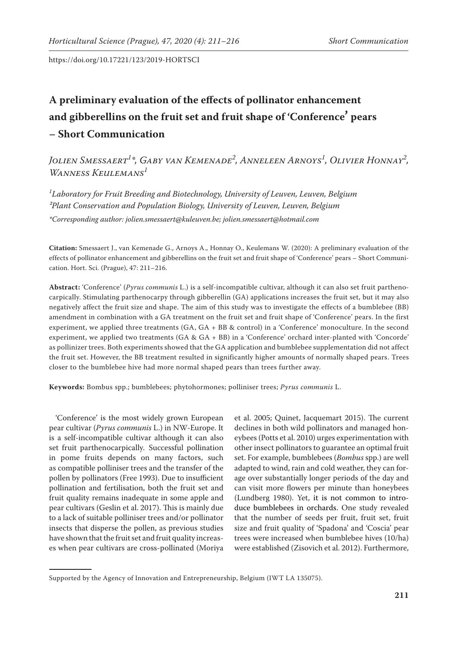# **A preliminary evaluation of the effects of pollinator enhancement and gibberellins on the fruit set and fruit shape of 'Conference' pears – Short Communication**

*Jolien Smessaert<sup>1</sup> \*, Gaby van Kemenade<sup>2</sup> , Anneleen Arnoys<sup>1</sup> , Olivier Honnay<sup>2</sup> , Wanness Keulemans<sup>1</sup>*

*1 Laboratory for Fruit Breeding and Biotechnology, University of Leuven, Leuven, Belgium ²Plant Conservation and Population Biology, University of Leuven, Leuven, Belgium \*Corresponding author: jolien.smessaert@kuleuven.be; jolien.smessaert@hotmail.com*

**Citation:** Smessaert J., van Kemenade G., Arnoys A., Honnay O., Keulemans W. (2020): A preliminary evaluation of the effects of pollinator enhancement and gibberellins on the fruit set and fruit shape of 'Conference' pears – Short Communication. Hort. Sci. (Prague), 47: 211–216.

**Abstract:** 'Conference' (*Pyrus communis* L.) is a self-incompatible cultivar, although it can also set fruit parthenocarpically. Stimulating parthenocarpy through gibberellin (GA) applications increases the fruit set, but it may also negatively affect the fruit size and shape. The aim of this study was to investigate the effects of a bumblebee (BB) amendment in combination with a GA treatment on the fruit set and fruit shape of 'Conference' pears. In the first experiment, we applied three treatments (GA, GA + BB & control) in a 'Conference' monoculture. In the second experiment, we applied two treatments (GA & GA + BB) in a 'Conference' orchard inter-planted with 'Concorde' as pollinizer trees. Both experiments showed that the GA application and bumblebee supplementation did not affect the fruit set. However, the BB treatment resulted in significantly higher amounts of normally shaped pears. Trees closer to the bumblebee hive had more normal shaped pears than trees further away.

**Keywords:** Bombus spp.; bumblebees; phytohormones; polliniser trees; *Pyrus communis* L.

'Conference' is the most widely grown European pear cultivar (*Pyrus communis* L.) in NW-Europe. It is a self-incompatible cultivar although it can also set fruit parthenocarpically. Successful pollination in pome fruits depends on many factors, such as compatible polliniser trees and the transfer of the pollen by pollinators (Free 1993). Due to insufficient pollination and fertilisation, both the fruit set and fruit quality remains inadequate in some apple and pear cultivars (Geslin et al. 2017). This is mainly due to a lack of suitable polliniser trees and/or pollinator insects that disperse the pollen, as previous studies have shown that the fruit set and fruit quality increases when pear cultivars are cross-pollinated (Moriya

et al. 2005; Quinet, Jacquemart 2015). The current declines in both wild pollinators and managed honeybees (Potts et al. 2010) urges experimentation with other insect pollinators to guarantee an optimal fruit set. For example, bumblebees (*Bombus* spp.) are well adapted to wind, rain and cold weather, they can forage over substantially longer periods of the day and can visit more flowers per minute than honeybees (Lundberg 1980). Yet, it is not common to introduce bumblebees in orchards. One study revealed that the number of seeds per fruit, fruit set, fruit size and fruit quality of 'Spadona' and 'Coscia' pear trees were increased when bumblebee hives (10/ha) were established (Zisovich et al. 2012). Furthermore,

Supported by the Agency of Innovation and Entrepreneurship, Belgium (IWT LA 135075).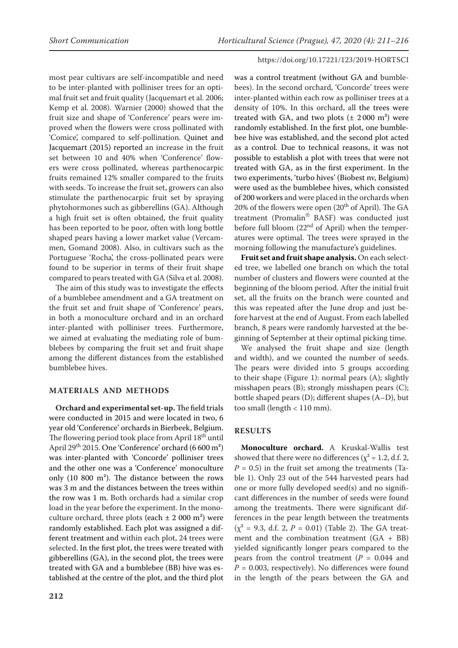most pear cultivars are self-incompatible and need to be inter-planted with polliniser trees for an optimal fruit set and fruit quality (Jacquemart et al. 2006; Kemp et al. 2008). Warnier (2000) showed that the fruit size and shape of 'Conference' pears were improved when the flowers were cross pollinated with 'Comice', compared to self-pollination. Quinet and Jacquemart (2015) reported an increase in the fruit set between 10 and 40% when 'Conference' flowers were cross pollinated, whereas parthenocarpic fruits remained 12% smaller compared to the fruits with seeds. To increase the fruit set, growers can also stimulate the parthenocarpic fruit set by spraying phytohormones such as gibberellins (GA). Although a high fruit set is often obtained, the fruit quality has been reported to be poor, often with long bottle shaped pears having a lower market value (Vercammen, Gomand 2008). Also, in cultivars such as the Portuguese 'Rocha', the cross-pollinated pears were found to be superior in terms of their fruit shape compared to pears treated with GA (Silva et al. 2008).

The aim of this study was to investigate the effects of a bumblebee amendment and a GA treatment on the fruit set and fruit shape of 'Conference' pears, in both a monoculture orchard and in an orchard inter-planted with polliniser trees. Furthermore, we aimed at evaluating the mediating role of bumblebees by comparing the fruit set and fruit shape among the different distances from the established bumblebee hives.

# **MATERIALS AND METHODS**

**Orchard and experimental set-up.** The field trials were conducted in 2015 and were located in two, 6 year old 'Conference' orchards in Bierbeek, Belgium. The flowering period took place from April 18<sup>th</sup> until April 29<sup>th</sup> 2015. One 'Conference' orchard (6 600 m<sup>2</sup>) was inter-planted with 'Concorde' polliniser trees and the other one was a 'Conference' monoculture only (10 800 m²). The distance between the rows was 3 m and the distances between the trees within the row was 1 m. Both orchards had a similar crop load in the year before the experiment. In the monoculture orchard, three plots (each  $\pm$  2 000 m<sup>2</sup>) were randomly established. Each plot was assigned a different treatment and within each plot, 24 trees were selected. In the first plot, the trees were treated with gibberellins (GA), in the second plot, the trees were treated with GA and a bumblebee (BB) hive was established at the centre of the plot, and the third plot

was a control treatment (without GA and bumblebees). In the second orchard, 'Concorde' trees were inter-planted within each row as polliniser trees at a density of 10%. In this orchard, all the trees were treated with GA, and two plots  $(\pm 2000 \text{ m}^2)$  were randomly established. In the first plot, one bumblebee hive was established, and the second plot acted as a control. Due to technical reasons, it was not possible to establish a plot with trees that were not treated with GA, as in the first experiment. In the two experiments, 'turbo hives' (Biobest nv, Belgium) were used as the bumblebee hives, which consisted of 200 workers and were placed in the orchards when 20% of the flowers were open (20<sup>th</sup> of April). The GA treatment (Promalin® BASF) was conducted just before full bloom (22<sup>nd</sup> of April) when the temperatures were optimal. The trees were sprayed in the morning following the manufacture's guidelines.

**Fruit set and fruit shape analysis.** On each selected tree, we labelled one branch on which the total number of clusters and flowers were counted at the beginning of the bloom period. After the initial fruit set, all the fruits on the branch were counted and this was repeated after the June drop and just before harvest at the end of August. From each labelled branch, 8 pears were randomly harvested at the beginning of September at their optimal picking time.

We analysed the fruit shape and size (length and width), and we counted the number of seeds. The pears were divided into 5 groups according to their shape (Figure 1): normal pears (A); slightly misshapen pears (B); strongly misshapen pears (C); bottle shaped pears (D); different shapes (A–D), but too small (length < 110 mm).

# **RESULTS**

**Monoculture orchard.** A Kruskal-Wallis test showed that there were no differences ( $\chi^2$  = 1.2, d.f. 2,  $P = 0.5$ ) in the fruit set among the treatments (Table 1). Only 23 out of the 544 harvested pears had one or more fully developed seed(s) and no significant differences in the number of seeds were found among the treatments. There were significant differences in the pear length between the treatments  $(x^2 = 9.3, d.f. 2, P = 0.01)$  (Table 2). The GA treatment and the combination treatment  $(GA + BB)$ yielded significantly longer pears compared to the pears from the control treatment  $(P = 0.044$  and  $P = 0.003$ , respectively). No differences were found in the length of the pears between the GA and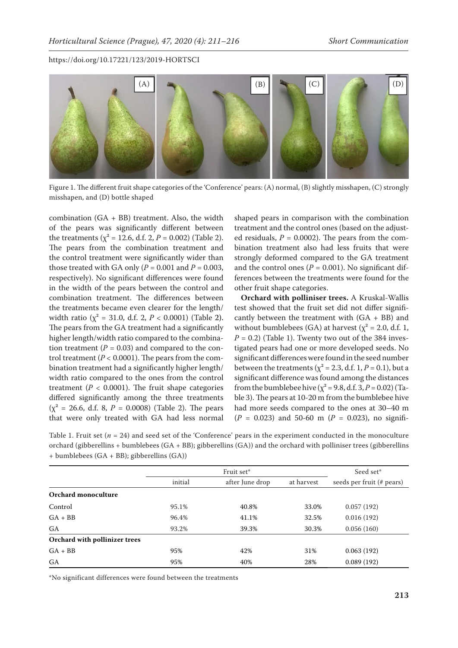

Figure 1. The different fruit shape categories of the 'Conference' pears: (A) normal, (B) slightly misshapen, (C) strongly misshapen, and (D) bottle shaped

combination (GA + BB) treatment. Also, the width of the pears was significantly different between the treatments ( $\chi^2$  = 12.6, d.f. 2, *P* = 0.002) (Table 2). The pears from the combination treatment and the control treatment were significantly wider than those treated with GA only  $(P = 0.001$  and  $P = 0.003$ , respectively). No significant differences were found in the width of the pears between the control and combination treatment. The differences between the treatments became even clearer for the length/ width ratio ( $\chi^2$  = 31.0, d.f. 2, *P* < 0.0001) (Table 2). The pears from the GA treatment had a significantly higher length/width ratio compared to the combination treatment  $(P = 0.03)$  and compared to the control treatment  $(P < 0.0001)$ . The pears from the combination treatment had a significantly higher length/ width ratio compared to the ones from the control treatment ( $P < 0.0001$ ). The fruit shape categories differed significantly among the three treatments  $(x^2 = 26.6, d.f. 8, P = 0.0008)$  (Table 2). The pears that were only treated with GA had less normal

shaped pears in comparison with the combination treatment and the control ones (based on the adjusted residuals,  $P = 0.0002$ ). The pears from the combination treatment also had less fruits that were strongly deformed compared to the GA treatment and the control ones  $(P = 0.001)$ . No significant differences between the treatments were found for the other fruit shape categories.

**Orchard with polliniser trees.** A Kruskal-Wallis test showed that the fruit set did not differ significantly between the treatment with (GA + BB) and without bumblebees (GA) at harvest ( $\chi^2$  = 2.0, d.f. 1,  $P = 0.2$ ) (Table 1). Twenty two out of the 384 investigated pears had one or more developed seeds. No significant differences were found in the seed number between the treatments ( $\chi^2$  = 2.3, d.f. 1, *P* = 0.1), but a significant difference was found among the distances from the bumblebee hive ( $\chi^2$  = 9.8, d.f. 3, P = 0.02) (Table 3). The pears at 10-20 m from the bumblebee hive had more seeds compared to the ones at 30–40 m (*P =*  0.023) and 50-60 m (*P =*  0.023), no signifi-

Table 1. Fruit set (*n* = 24) and seed set of the 'Conference' pears in the experiment conducted in the monoculture orchard (gibberellins + bumblebees (GA + BB); gibberellins (GA)) and the orchard with polliniser trees (gibberellins + bumblebees (GA + BB); gibberellins (GA))

|                               |         | Seed set*       |            |                           |
|-------------------------------|---------|-----------------|------------|---------------------------|
|                               | initial | after June drop | at harvest | seeds per fruit (# pears) |
| Orchard monoculture           |         |                 |            |                           |
| Control                       | 95.1%   | 40.8%           | 33.0%      | 0.057(192)                |
| $GA + BB$                     | 96.4%   | 41.1%           | 32.5%      | 0.016(192)                |
| GA                            | 93.2%   | 39.3%           | 30.3%      | 0.056(160)                |
| Orchard with pollinizer trees |         |                 |            |                           |
| $GA + BB$                     | 95%     | 42%             | 31%        | 0.063(192)                |
| GA                            | 95%     | 40%             | 28%        | 0.089(192)                |

\*No significant differences were found between the treatments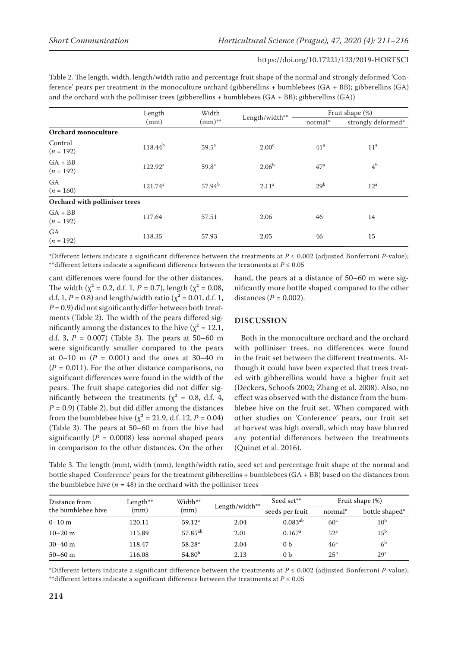Table 2. The length, width, length/width ratio and percentage fruit shape of the normal and strongly deformed 'Conference' pears per treatment in the monoculture orchard (gibberellins + bumblebees (GA + BB); gibberellins (GA) and the orchard with the polliniser trees (gibberellins + bumblebees  $(GA + BB)$ ; gibberellins  $(GA)$ )

|                               | Length           | Width             | Length/width**    |                 | Fruit shape (%)    |  |  |
|-------------------------------|------------------|-------------------|-------------------|-----------------|--------------------|--|--|
|                               | (mm)             | $(mm)$ **         |                   | normal*         | strongly deformed* |  |  |
| Orchard monoculture           |                  |                   |                   |                 |                    |  |  |
| Control<br>$(n = 192)$        | $118.44^{b}$     | $59.5^{\rm a}$    | 2.00 <sup>c</sup> | 41 <sup>a</sup> | 11 <sup>a</sup>    |  |  |
| $GA + BB$<br>$(n = 192)$      | $122.92^{\rm a}$ | 59.8 <sup>a</sup> | 2.06 <sup>b</sup> | 47 <sup>a</sup> | 4 <sup>b</sup>     |  |  |
| <b>GA</b><br>$(n = 160)$      | $121.74^a$       | $57.94^{b}$       | 2.11 <sup>a</sup> | 29 <sup>b</sup> | $12^a$             |  |  |
| Orchard with polliniser trees |                  |                   |                   |                 |                    |  |  |
| $GA + BB$<br>$(n = 192)$      | 117.64           | 57.51             | 2.06              | 46              | 14                 |  |  |
| <b>GA</b><br>$(n = 192)$      | 118.35           | 57.93             | 2.05              | 46              | 15                 |  |  |

\*Different letters indicate a significant difference between the treatments at *P* ≤ 0.002 (adjusted Bonferroni *P*-value); \*\*different letters indicate a significant difference between the treatments at  $P \le 0.05$ 

cant differences were found for the other distances. The width ( $\chi^2$  = 0.2, d.f. 1, *P* = 0.7), length ( $\chi^2$  = 0.08, d.f. 1, *P* = 0.8) and length/width ratio ( $\chi^2$  = 0.01, d.f. 1, *P =* 0.9) did not significantly differ between both treatments (Table 2). The width of the pears differed significantly among the distances to the hive ( $\chi^2$  = 12.1, d.f. 3,  $P = 0.007$ ) (Table 3). The pears at 50–60 m were significantly smaller compared to the pears at  $0-10$  m ( $P = 0.001$ ) and the ones at 30-40 m  $(P = 0.011)$ . For the other distance comparisons, no significant differences were found in the width of the pears. The fruit shape categories did not differ significantly between the treatments ( $\chi^2$  = 0.8, d.f. 4,  $P = 0.9$ ) (Table 2), but did differ among the distances from the bumblebee hive ( $\chi^2$  = 21.9, d.f. 12, *P* = 0.04) (Table 3). The pears at 50–60 m from the hive had significantly ( $P = 0.0008$ ) less normal shaped pears in comparison to the other distances. On the other

hand, the pears at a distance of 50–60 m were significantly more bottle shaped compared to the other distances  $(P = 0.002)$ .

## **DISCUSSION**

Both in the monoculture orchard and the orchard with polliniser trees, no differences were found in the fruit set between the different treatments. Although it could have been expected that trees treated with gibberellins would have a higher fruit set (Deckers, Schoofs 2002; Zhang et al. 2008). Also, no effect was observed with the distance from the bumblebee hive on the fruit set. When compared with other studies on 'Conference' pears, our fruit set at harvest was high overall, which may have blurred any potential differences between the treatments (Quinet et al. 2016).

Table 3. The length (mm), width (mm), length/width ratio, seed set and percentage fruit shape of the normal and bottle shaped 'Conference' pears for the treatment gibberellins + bumblebees (GA + BB) based on the distances from the bumblebee hive ( $n = 48$ ) in the orchard with the polliniser trees

| Distance from<br>the bumblebee hive | Length**<br>(mm) | Width**             | Length/width** | Seed set**           | Fruit shape (%) |                 |
|-------------------------------------|------------------|---------------------|----------------|----------------------|-----------------|-----------------|
|                                     |                  | (mm)                |                | seeds per fruit      | normal*         | bottle shaped*  |
| $0 - 10$ m                          | 120.11           | 59.12 <sup>a</sup>  | 2.04           | $0.083^{ab}$         | 60 <sup>a</sup> | 10 <sup>b</sup> |
| $10 - 20$ m                         | 115.89           | 57.85 <sup>ab</sup> | 2.01           | $0.167$ <sup>a</sup> | 52 <sup>a</sup> | $15^{\rm b}$    |
| $30 - 40$ m                         | 118.47           | 58.28 <sup>a</sup>  | 2.04           | 0 b                  | 46 <sup>a</sup> | 6 <sup>b</sup>  |
| $50 - 60$ m                         | 116.08           | 54.80 <sup>b</sup>  | 2.13           | 0 b                  | $25^{\rm b}$    | 29 <sup>a</sup> |

\*Different letters indicate a significant difference between the treatments at *P* ≤ 0.002 (adjusted Bonferroni *P*-value); \*\*different letters indicate a significant difference between the treatments at  $P \leq 0.05$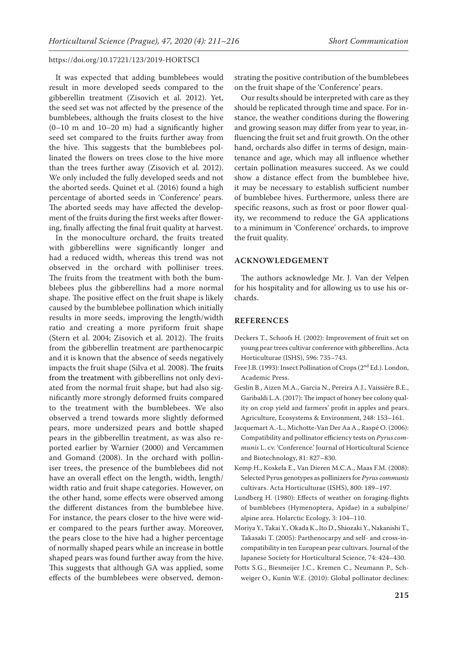It was expected that adding bumblebees would result in more developed seeds compared to the gibberellin treatment (Zisovich et al. 2012). Yet, the seed set was not affected by the presence of the bumblebees, although the fruits closest to the hive  $(0-10 \text{ m and } 10-20 \text{ m})$  had a significantly higher seed set compared to the fruits further away from the hive. This suggests that the bumblebees pollinated the flowers on trees close to the hive more than the trees further away (Zisovich et al. 2012). We only included the fully developed seeds and not the aborted seeds. Quinet et al. (2016) found a high percentage of aborted seeds in 'Conference' pears. The aborted seeds may have affected the development of the fruits during the first weeks after flowering, finally affecting the final fruit quality at harvest.

In the monoculture orchard, the fruits treated with gibberellins were significantly longer and had a reduced width, whereas this trend was not observed in the orchard with polliniser trees. The fruits from the treatment with both the bumblebees plus the gibberellins had a more normal shape. The positive effect on the fruit shape is likely caused by the bumblebee pollination which initially results in more seeds, improving the length/width ratio and creating a more pyriform fruit shape (Stern et al. 2004; Zisovich et al. 2012). The fruits from the gibberellin treatment are parthenocarpic and it is known that the absence of seeds negatively impacts the fruit shape (Silva et al. 2008). The fruits from the treatment with gibberellins not only deviated from the normal fruit shape, but had also significantly more strongly deformed fruits compared to the treatment with the bumblebees. We also observed a trend towards more slightly deformed pears, more undersized pears and bottle shaped pears in the gibberellin treatment, as was also reported earlier by Warnier (2000) and Vercammen and Gomand (2008). In the orchard with polliniser trees, the presence of the bumblebees did not have an overall effect on the length, width, length/ width ratio and fruit shape categories. However, on the other hand, some effects were observed among the different distances from the bumblebee hive. For instance, the pears closer to the hive were wider compared to the pears further away. Moreover, the pears close to the hive had a higher percentage of normally shaped pears while an increase in bottle shaped pears was found further away from the hive. This suggests that although GA was applied, some effects of the bumblebees were observed, demon-

strating the positive contribution of the bumblebees on the fruit shape of the 'Conference' pears.

Our results should be interpreted with care as they should be replicated through time and space. For instance, the weather conditions during the flowering and growing season may differ from year to year, influencing the fruit set and fruit growth. On the other hand, orchards also differ in terms of design, maintenance and age, which may all influence whether certain pollination measures succeed. As we could show a distance effect from the bumblebee hive, it may be necessary to establish sufficient number of bumblebee hives. Furthermore, unless there are specific reasons, such as frost or poor flower quality, we recommend to reduce the GA applications to a minimum in 'Conference' orchards, to improve the fruit quality.

#### **ACKNOWLEDGEMENT**

The authors acknowledge Mr. J. Van der Velpen for his hospitality and for allowing us to use his orchards.

#### **REFERENCES**

- Deckers T., Schoofs H. (2002): Improvement of fruit set on young pear trees cultivar conference with gibberellins. Acta Horticulturae (ISHS), 596: 735–743.
- Free J.B. (1993): Insect Pollination of Crops (2nd Ed.). London, Academic Press.
- Geslin B., Aizen M.A., Garcia N., Pereira A.J., Vaissière B.E., Garibaldi L.A. (2017): The impact of honey bee colony quality on crop yield and farmers' profit in apples and pears. Agriculture, Ecosystems & Environment, 248: 153–161.
- Jacquemart A.-L., Michotte-Van Der Aa A., Raspé O. (2006): Compatibility and pollinator efficiency tests on *Pyrus communis* L. cv. 'Conference.' Journal of Horticultural Science and Biotechnology, 81: 827–830.
- Kemp H., Koskela E., Van Dieren M.C.A., Maas F.M. (2008): Selected Pyrus genotypes as pollinizers for *Pyrus communis* cultivars. Acta Horticulturae (ISHS), 800: 189–197.
- Lundberg H. (1980): Effects of weather on foraging-flights of bumblebees (Hymenoptera, Apidae) in a subalpine/ alpine area. Holarctic Ecology, 3: 104–110.
- Moriya Y., Takai Y., Okada K., Ito D., Shiozaki Y., Nakanishi T., Takasaki T. (2005): Parthenocarpy and self- and cross-incompatibility in ten European pear cultivars. Journal of the Japanese Society for Horticultural Science, 74: 424–430.
- Potts S.G., Biesmeijer J.C., Kremen C., Neumann P., Schweiger O., Kunin W.E. (2010): Global pollinator declines: